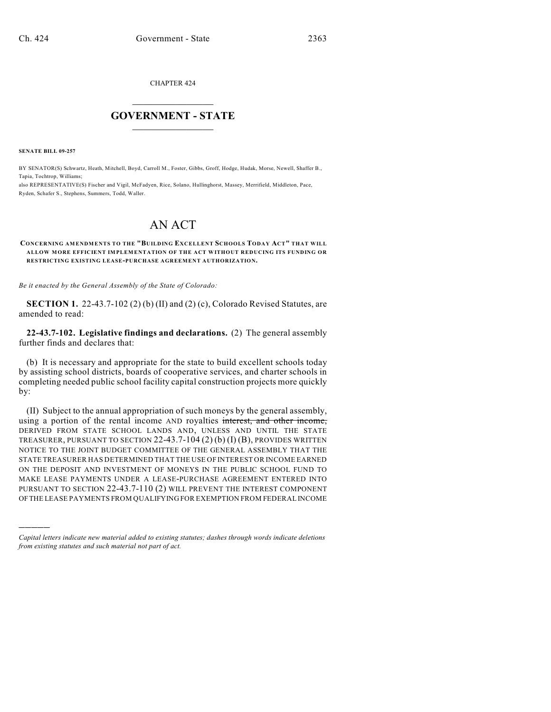CHAPTER 424

## $\overline{\phantom{a}}$  . The set of the set of the set of the set of the set of the set of the set of the set of the set of the set of the set of the set of the set of the set of the set of the set of the set of the set of the set o **GOVERNMENT - STATE**  $\_$

**SENATE BILL 09-257**

)))))

BY SENATOR(S) Schwartz, Heath, Mitchell, Boyd, Carroll M., Foster, Gibbs, Groff, Hodge, Hudak, Morse, Newell, Shaffer B., Tapia, Tochtrop, Williams;

also REPRESENTATIVE(S) Fischer and Vigil, McFadyen, Rice, Solano, Hullinghorst, Massey, Merrifield, Middleton, Pace, Ryden, Schafer S., Stephens, Summers, Todd, Waller.

# AN ACT

#### **CONCERNING AMENDMENTS TO THE "BUILDING EXCELLENT SCHOOLS TODAY ACT" THAT WILL ALLOW MORE EFFICIENT IMPLEMENTATION OF THE ACT WITHOUT REDUCING ITS FUNDING OR RESTRICTING EXISTING LEASE-PURCHASE AGREEMENT AUTHORIZATION.**

*Be it enacted by the General Assembly of the State of Colorado:*

**SECTION 1.** 22-43.7-102 (2) (b) (II) and (2) (c), Colorado Revised Statutes, are amended to read:

**22-43.7-102. Legislative findings and declarations.** (2) The general assembly further finds and declares that:

(b) It is necessary and appropriate for the state to build excellent schools today by assisting school districts, boards of cooperative services, and charter schools in completing needed public school facility capital construction projects more quickly by:

(II) Subject to the annual appropriation of such moneys by the general assembly, using a portion of the rental income AND royalties interest, and other income, DERIVED FROM STATE SCHOOL LANDS AND, UNLESS AND UNTIL THE STATE TREASURER, PURSUANT TO SECTION 22-43.7-104 (2) (b) (I) (B), PROVIDES WRITTEN NOTICE TO THE JOINT BUDGET COMMITTEE OF THE GENERAL ASSEMBLY THAT THE STATE TREASURER HAS DETERMINED THAT THE USE OF INTEREST OR INCOME EARNED ON THE DEPOSIT AND INVESTMENT OF MONEYS IN THE PUBLIC SCHOOL FUND TO MAKE LEASE PAYMENTS UNDER A LEASE-PURCHASE AGREEMENT ENTERED INTO PURSUANT TO SECTION 22-43.7-110 (2) WILL PREVENT THE INTEREST COMPONENT OF THE LEASE PAYMENTS FROM QUALIFYING FOR EXEMPTION FROM FEDERAL INCOME

*Capital letters indicate new material added to existing statutes; dashes through words indicate deletions from existing statutes and such material not part of act.*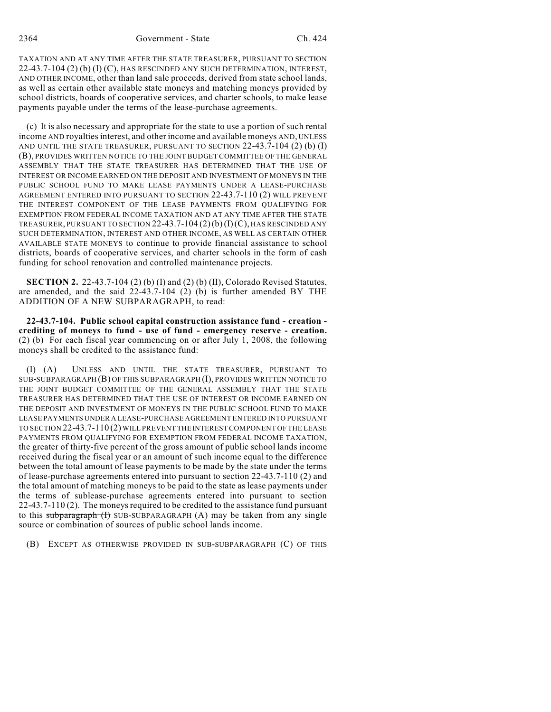TAXATION AND AT ANY TIME AFTER THE STATE TREASURER, PURSUANT TO SECTION 22-43.7-104 (2) (b) (I) (C), HAS RESCINDED ANY SUCH DETERMINATION, INTEREST, AND OTHER INCOME, other than land sale proceeds, derived from state school lands, as well as certain other available state moneys and matching moneys provided by school districts, boards of cooperative services, and charter schools, to make lease payments payable under the terms of the lease-purchase agreements.

(c) It is also necessary and appropriate for the state to use a portion of such rental income AND royalties interest, and other income and available moneys AND, UNLESS AND UNTIL THE STATE TREASURER, PURSUANT TO SECTION 22-43.7-104 (2) (b) (I) (B), PROVIDES WRITTEN NOTICE TO THE JOINT BUDGET COMMITTEE OF THE GENERAL ASSEMBLY THAT THE STATE TREASURER HAS DETERMINED THAT THE USE OF INTEREST OR INCOME EARNED ON THE DEPOSIT AND INVESTMENT OF MONEYS IN THE PUBLIC SCHOOL FUND TO MAKE LEASE PAYMENTS UNDER A LEASE-PURCHASE AGREEMENT ENTERED INTO PURSUANT TO SECTION 22-43.7-110 (2) WILL PREVENT THE INTEREST COMPONENT OF THE LEASE PAYMENTS FROM QUALIFYING FOR EXEMPTION FROM FEDERAL INCOME TAXATION AND AT ANY TIME AFTER THE STATE TREASURER, PURSUANT TO SECTION 22-43.7-104 (2)(b)(I)(C), HAS RESCINDED ANY SUCH DETERMINATION, INTEREST AND OTHER INCOME, AS WELL AS CERTAIN OTHER AVAILABLE STATE MONEYS to continue to provide financial assistance to school districts, boards of cooperative services, and charter schools in the form of cash funding for school renovation and controlled maintenance projects.

**SECTION 2.** 22-43.7-104 (2) (b) (I) and (2) (b) (II), Colorado Revised Statutes, are amended, and the said 22-43.7-104 (2) (b) is further amended BY THE ADDITION OF A NEW SUBPARAGRAPH, to read:

**22-43.7-104. Public school capital construction assistance fund - creation crediting of moneys to fund - use of fund - emergency reserve - creation.** (2) (b) For each fiscal year commencing on or after July 1, 2008, the following moneys shall be credited to the assistance fund:

(I) (A) UNLESS AND UNTIL THE STATE TREASURER, PURSUANT TO SUB-SUBPARAGRAPH (B) OF THIS SUBPARAGRAPH (I), PROVIDES WRITTEN NOTICE TO THE JOINT BUDGET COMMITTEE OF THE GENERAL ASSEMBLY THAT THE STATE TREASURER HAS DETERMINED THAT THE USE OF INTEREST OR INCOME EARNED ON THE DEPOSIT AND INVESTMENT OF MONEYS IN THE PUBLIC SCHOOL FUND TO MAKE LEASE PAYMENTS UNDER A LEASE-PURCHASE AGREEMENT ENTERED INTO PURSUANT TO SECTION 22-43.7-110 (2) WILL PREVENT THE INTEREST COMPONENT OF THE LEASE PAYMENTS FROM QUALIFYING FOR EXEMPTION FROM FEDERAL INCOME TAXATION, the greater of thirty-five percent of the gross amount of public school lands income received during the fiscal year or an amount of such income equal to the difference between the total amount of lease payments to be made by the state under the terms of lease-purchase agreements entered into pursuant to section 22-43.7-110 (2) and the total amount of matching moneys to be paid to the state as lease payments under the terms of sublease-purchase agreements entered into pursuant to section 22-43.7-110 (2). The moneys required to be credited to the assistance fund pursuant to this subparagraph  $(H)$  SUB-SUBPARAGRAPH  $(A)$  may be taken from any single source or combination of sources of public school lands income.

(B) EXCEPT AS OTHERWISE PROVIDED IN SUB-SUBPARAGRAPH (C) OF THIS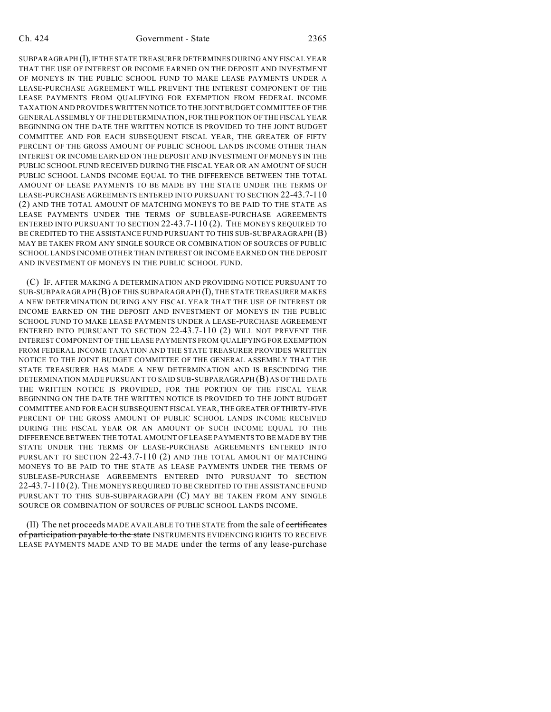SUBPARAGRAPH (I), IF THE STATE TREASURER DETERMINES DURING ANY FISCAL YEAR THAT THE USE OF INTEREST OR INCOME EARNED ON THE DEPOSIT AND INVESTMENT OF MONEYS IN THE PUBLIC SCHOOL FUND TO MAKE LEASE PAYMENTS UNDER A LEASE-PURCHASE AGREEMENT WILL PREVENT THE INTEREST COMPONENT OF THE LEASE PAYMENTS FROM QUALIFYING FOR EXEMPTION FROM FEDERAL INCOME TAXATION AND PROVIDES WRITTEN NOTICE TO THE JOINT BUDGET COMMITTEE OF THE GENERAL ASSEMBLY OF THE DETERMINATION, FOR THE PORTION OF THE FISCAL YEAR BEGINNING ON THE DATE THE WRITTEN NOTICE IS PROVIDED TO THE JOINT BUDGET COMMITTEE AND FOR EACH SUBSEQUENT FISCAL YEAR, THE GREATER OF FIFTY PERCENT OF THE GROSS AMOUNT OF PUBLIC SCHOOL LANDS INCOME OTHER THAN INTEREST OR INCOME EARNED ON THE DEPOSIT AND INVESTMENT OF MONEYS IN THE PUBLIC SCHOOL FUND RECEIVED DURING THE FISCAL YEAR OR AN AMOUNT OF SUCH PUBLIC SCHOOL LANDS INCOME EQUAL TO THE DIFFERENCE BETWEEN THE TOTAL AMOUNT OF LEASE PAYMENTS TO BE MADE BY THE STATE UNDER THE TERMS OF LEASE-PURCHASE AGREEMENTS ENTERED INTO PURSUANT TO SECTION 22-43.7-110 (2) AND THE TOTAL AMOUNT OF MATCHING MONEYS TO BE PAID TO THE STATE AS LEASE PAYMENTS UNDER THE TERMS OF SUBLEASE-PURCHASE AGREEMENTS ENTERED INTO PURSUANT TO SECTION 22-43.7-110 (2). THE MONEYS REQUIRED TO BE CREDITED TO THE ASSISTANCE FUND PURSUANT TO THIS SUB-SUBPARAGRAPH (B) MAY BE TAKEN FROM ANY SINGLE SOURCE OR COMBINATION OF SOURCES OF PUBLIC SCHOOL LANDS INCOME OTHER THAN INTEREST OR INCOME EARNED ON THE DEPOSIT AND INVESTMENT OF MONEYS IN THE PUBLIC SCHOOL FUND.

(C) IF, AFTER MAKING A DETERMINATION AND PROVIDING NOTICE PURSUANT TO SUB-SUBPARAGRAPH (B) OF THIS SUBPARAGRAPH (I), THE STATE TREASURER MAKES A NEW DETERMINATION DURING ANY FISCAL YEAR THAT THE USE OF INTEREST OR INCOME EARNED ON THE DEPOSIT AND INVESTMENT OF MONEYS IN THE PUBLIC SCHOOL FUND TO MAKE LEASE PAYMENTS UNDER A LEASE-PURCHASE AGREEMENT ENTERED INTO PURSUANT TO SECTION 22-43.7-110 (2) WILL NOT PREVENT THE INTEREST COMPONENT OF THE LEASE PAYMENTS FROM QUALIFYING FOR EXEMPTION FROM FEDERAL INCOME TAXATION AND THE STATE TREASURER PROVIDES WRITTEN NOTICE TO THE JOINT BUDGET COMMITTEE OF THE GENERAL ASSEMBLY THAT THE STATE TREASURER HAS MADE A NEW DETERMINATION AND IS RESCINDING THE DETERMINATION MADE PURSUANT TO SAID SUB-SUBPARAGRAPH (B) AS OF THE DATE THE WRITTEN NOTICE IS PROVIDED, FOR THE PORTION OF THE FISCAL YEAR BEGINNING ON THE DATE THE WRITTEN NOTICE IS PROVIDED TO THE JOINT BUDGET COMMITTEE AND FOR EACH SUBSEQUENT FISCAL YEAR, THE GREATER OF THIRTY-FIVE PERCENT OF THE GROSS AMOUNT OF PUBLIC SCHOOL LANDS INCOME RECEIVED DURING THE FISCAL YEAR OR AN AMOUNT OF SUCH INCOME EQUAL TO THE DIFFERENCE BETWEEN THE TOTAL AMOUNT OF LEASE PAYMENTS TO BE MADE BY THE STATE UNDER THE TERMS OF LEASE-PURCHASE AGREEMENTS ENTERED INTO PURSUANT TO SECTION 22-43.7-110 (2) AND THE TOTAL AMOUNT OF MATCHING MONEYS TO BE PAID TO THE STATE AS LEASE PAYMENTS UNDER THE TERMS OF SUBLEASE-PURCHASE AGREEMENTS ENTERED INTO PURSUANT TO SECTION 22-43.7-110 (2). THE MONEYS REQUIRED TO BE CREDITED TO THE ASSISTANCE FUND PURSUANT TO THIS SUB-SUBPARAGRAPH (C) MAY BE TAKEN FROM ANY SINGLE SOURCE OR COMBINATION OF SOURCES OF PUBLIC SCHOOL LANDS INCOME.

(II) The net proceeds MADE AVAILABLE TO THE STATE from the sale of certificates of participation payable to the state INSTRUMENTS EVIDENCING RIGHTS TO RECEIVE LEASE PAYMENTS MADE AND TO BE MADE under the terms of any lease-purchase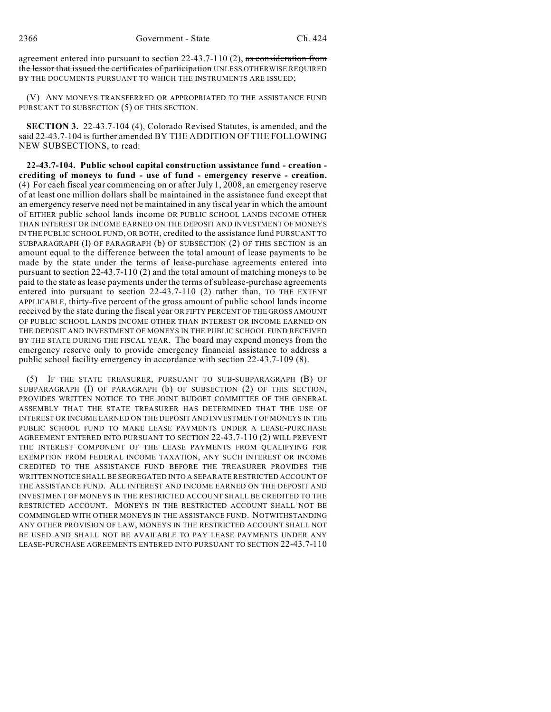agreement entered into pursuant to section 22-43.7-110 (2), as consideration from the lessor that issued the certificates of participation UNLESS OTHERWISE REQUIRED BY THE DOCUMENTS PURSUANT TO WHICH THE INSTRUMENTS ARE ISSUED;

(V) ANY MONEYS TRANSFERRED OR APPROPRIATED TO THE ASSISTANCE FUND PURSUANT TO SUBSECTION (5) OF THIS SECTION.

**SECTION 3.** 22-43.7-104 (4), Colorado Revised Statutes, is amended, and the said 22-43.7-104 is further amended BY THE ADDITION OF THE FOLLOWING NEW SUBSECTIONS, to read:

**22-43.7-104. Public school capital construction assistance fund - creation crediting of moneys to fund - use of fund - emergency reserve - creation.** (4) For each fiscal year commencing on or after July 1, 2008, an emergency reserve of at least one million dollars shall be maintained in the assistance fund except that an emergency reserve need not be maintained in any fiscal year in which the amount of EITHER public school lands income OR PUBLIC SCHOOL LANDS INCOME OTHER THAN INTEREST OR INCOME EARNED ON THE DEPOSIT AND INVESTMENT OF MONEYS IN THE PUBLIC SCHOOL FUND, OR BOTH, credited to the assistance fund PURSUANT TO SUBPARAGRAPH (I) OF PARAGRAPH (b) OF SUBSECTION (2) OF THIS SECTION is an amount equal to the difference between the total amount of lease payments to be made by the state under the terms of lease-purchase agreements entered into pursuant to section 22-43.7-110 (2) and the total amount of matching moneys to be paid to the state as lease payments under the terms of sublease-purchase agreements entered into pursuant to section 22-43.7-110 (2) rather than, TO THE EXTENT APPLICABLE, thirty-five percent of the gross amount of public school lands income received by the state during the fiscal year OR FIFTY PERCENT OFTHE GROSS AMOUNT OF PUBLIC SCHOOL LANDS INCOME OTHER THAN INTEREST OR INCOME EARNED ON THE DEPOSIT AND INVESTMENT OF MONEYS IN THE PUBLIC SCHOOL FUND RECEIVED BY THE STATE DURING THE FISCAL YEAR. The board may expend moneys from the emergency reserve only to provide emergency financial assistance to address a public school facility emergency in accordance with section 22-43.7-109 (8).

(5) IF THE STATE TREASURER, PURSUANT TO SUB-SUBPARAGRAPH (B) OF SUBPARAGRAPH (I) OF PARAGRAPH (b) OF SUBSECTION (2) OF THIS SECTION, PROVIDES WRITTEN NOTICE TO THE JOINT BUDGET COMMITTEE OF THE GENERAL ASSEMBLY THAT THE STATE TREASURER HAS DETERMINED THAT THE USE OF INTEREST OR INCOME EARNED ON THE DEPOSIT AND INVESTMENT OF MONEYS IN THE PUBLIC SCHOOL FUND TO MAKE LEASE PAYMENTS UNDER A LEASE-PURCHASE AGREEMENT ENTERED INTO PURSUANT TO SECTION 22-43.7-110 (2) WILL PREVENT THE INTEREST COMPONENT OF THE LEASE PAYMENTS FROM QUALIFYING FOR EXEMPTION FROM FEDERAL INCOME TAXATION, ANY SUCH INTEREST OR INCOME CREDITED TO THE ASSISTANCE FUND BEFORE THE TREASURER PROVIDES THE WRITTEN NOTICE SHALL BE SEGREGATED INTO A SEPARATE RESTRICTED ACCOUNT OF THE ASSISTANCE FUND. ALL INTEREST AND INCOME EARNED ON THE DEPOSIT AND INVESTMENT OF MONEYS IN THE RESTRICTED ACCOUNT SHALL BE CREDITED TO THE RESTRICTED ACCOUNT. MONEYS IN THE RESTRICTED ACCOUNT SHALL NOT BE COMMINGLED WITH OTHER MONEYS IN THE ASSISTANCE FUND. NOTWITHSTANDING ANY OTHER PROVISION OF LAW, MONEYS IN THE RESTRICTED ACCOUNT SHALL NOT BE USED AND SHALL NOT BE AVAILABLE TO PAY LEASE PAYMENTS UNDER ANY LEASE-PURCHASE AGREEMENTS ENTERED INTO PURSUANT TO SECTION 22-43.7-110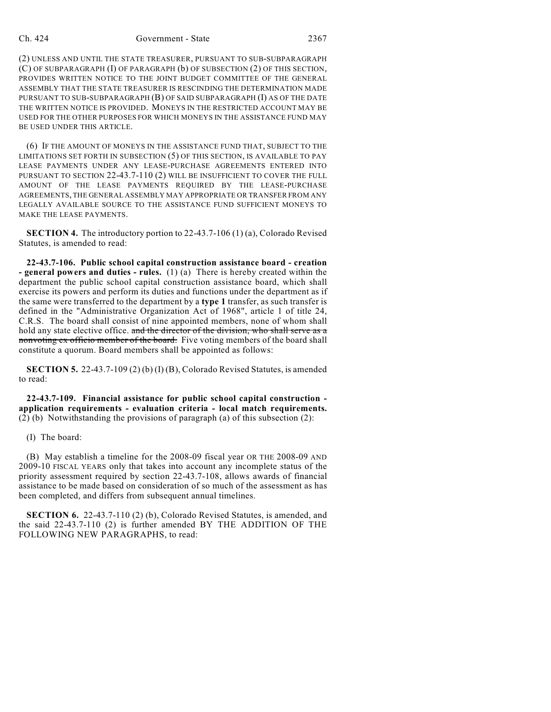#### Ch. 424 Government - State 2367

(2) UNLESS AND UNTIL THE STATE TREASURER, PURSUANT TO SUB-SUBPARAGRAPH (C) OF SUBPARAGRAPH (I) OF PARAGRAPH (b) OF SUBSECTION (2) OF THIS SECTION, PROVIDES WRITTEN NOTICE TO THE JOINT BUDGET COMMITTEE OF THE GENERAL ASSEMBLY THAT THE STATE TREASURER IS RESCINDING THE DETERMINATION MADE PURSUANT TO SUB-SUBPARAGRAPH (B) OF SAID SUBPARAGRAPH (I) AS OF THE DATE THE WRITTEN NOTICE IS PROVIDED. MONEYS IN THE RESTRICTED ACCOUNT MAY BE USED FOR THE OTHER PURPOSES FOR WHICH MONEYS IN THE ASSISTANCE FUND MAY BE USED UNDER THIS ARTICLE.

(6) IF THE AMOUNT OF MONEYS IN THE ASSISTANCE FUND THAT, SUBJECT TO THE LIMITATIONS SET FORTH IN SUBSECTION (5) OF THIS SECTION, IS AVAILABLE TO PAY LEASE PAYMENTS UNDER ANY LEASE-PURCHASE AGREEMENTS ENTERED INTO PURSUANT TO SECTION 22-43.7-110 (2) WILL BE INSUFFICIENT TO COVER THE FULL AMOUNT OF THE LEASE PAYMENTS REQUIRED BY THE LEASE-PURCHASE AGREEMENTS, THE GENERAL ASSEMBLY MAY APPROPRIATE OR TRANSFER FROM ANY LEGALLY AVAILABLE SOURCE TO THE ASSISTANCE FUND SUFFICIENT MONEYS TO MAKE THE LEASE PAYMENTS.

**SECTION 4.** The introductory portion to 22-43.7-106 (1) (a), Colorado Revised Statutes, is amended to read:

**22-43.7-106. Public school capital construction assistance board - creation - general powers and duties - rules.** (1) (a) There is hereby created within the department the public school capital construction assistance board, which shall exercise its powers and perform its duties and functions under the department as if the same were transferred to the department by a **type 1** transfer, as such transfer is defined in the "Administrative Organization Act of 1968", article 1 of title 24, C.R.S. The board shall consist of nine appointed members, none of whom shall hold any state elective office. and the director of the division, who shall serve as a nonvoting ex officio member of the board. Five voting members of the board shall constitute a quorum. Board members shall be appointed as follows:

**SECTION 5.** 22-43.7-109 (2) (b) (I) (B), Colorado Revised Statutes, is amended to read:

**22-43.7-109. Financial assistance for public school capital construction application requirements - evaluation criteria - local match requirements.** (2) (b) Notwithstanding the provisions of paragraph (a) of this subsection (2):

### (I) The board:

(B) May establish a timeline for the 2008-09 fiscal year OR THE 2008-09 AND 2009-10 FISCAL YEARS only that takes into account any incomplete status of the priority assessment required by section 22-43.7-108, allows awards of financial assistance to be made based on consideration of so much of the assessment as has been completed, and differs from subsequent annual timelines.

**SECTION 6.** 22-43.7-110 (2) (b), Colorado Revised Statutes, is amended, and the said 22-43.7-110 (2) is further amended BY THE ADDITION OF THE FOLLOWING NEW PARAGRAPHS, to read: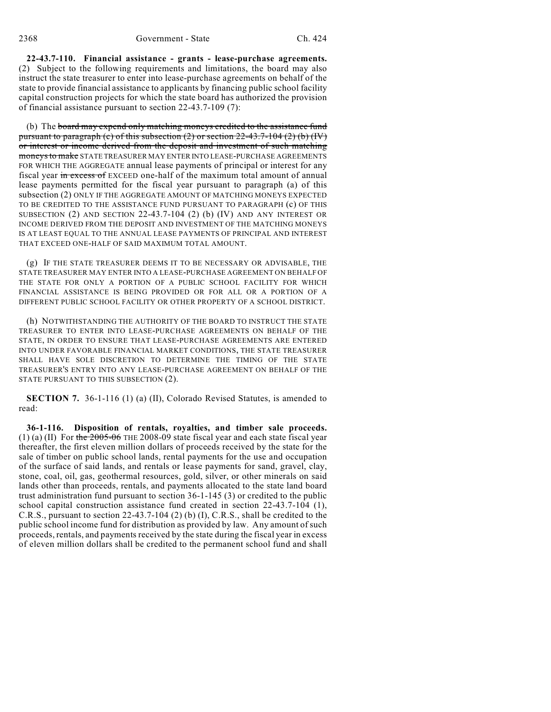**22-43.7-110. Financial assistance - grants - lease-purchase agreements.** (2) Subject to the following requirements and limitations, the board may also instruct the state treasurer to enter into lease-purchase agreements on behalf of the state to provide financial assistance to applicants by financing public school facility capital construction projects for which the state board has authorized the provision of financial assistance pursuant to section 22-43.7-109 (7):

(b) The board may expend only matching moneys credited to the assistance fund pursuant to paragraph (c) of this subsection  $(2)$  or section  $22-43.7-104$   $(2)$  (b)  $(W)$ or interest or income derived from the deposit and investment of such matching moneys to make STATE TREASURER MAY ENTER INTO LEASE-PURCHASE AGREEMENTS FOR WHICH THE AGGREGATE annual lease payments of principal or interest for any fiscal year in excess of EXCEED one-half of the maximum total amount of annual lease payments permitted for the fiscal year pursuant to paragraph (a) of this subsection (2) ONLY IF THE AGGREGATE AMOUNT OF MATCHING MONEYS EXPECTED TO BE CREDITED TO THE ASSISTANCE FUND PURSUANT TO PARAGRAPH (c) OF THIS SUBSECTION (2) AND SECTION 22-43.7-104 (2) (b) (IV) AND ANY INTEREST OR INCOME DERIVED FROM THE DEPOSIT AND INVESTMENT OF THE MATCHING MONEYS IS AT LEAST EQUAL TO THE ANNUAL LEASE PAYMENTS OF PRINCIPAL AND INTEREST THAT EXCEED ONE-HALF OF SAID MAXIMUM TOTAL AMOUNT.

(g) IF THE STATE TREASURER DEEMS IT TO BE NECESSARY OR ADVISABLE, THE STATE TREASURER MAY ENTER INTO A LEASE-PURCHASE AGREEMENT ON BEHALF OF THE STATE FOR ONLY A PORTION OF A PUBLIC SCHOOL FACILITY FOR WHICH FINANCIAL ASSISTANCE IS BEING PROVIDED OR FOR ALL OR A PORTION OF A DIFFERENT PUBLIC SCHOOL FACILITY OR OTHER PROPERTY OF A SCHOOL DISTRICT.

(h) NOTWITHSTANDING THE AUTHORITY OF THE BOARD TO INSTRUCT THE STATE TREASURER TO ENTER INTO LEASE-PURCHASE AGREEMENTS ON BEHALF OF THE STATE, IN ORDER TO ENSURE THAT LEASE-PURCHASE AGREEMENTS ARE ENTERED INTO UNDER FAVORABLE FINANCIAL MARKET CONDITIONS, THE STATE TREASURER SHALL HAVE SOLE DISCRETION TO DETERMINE THE TIMING OF THE STATE TREASURER'S ENTRY INTO ANY LEASE-PURCHASE AGREEMENT ON BEHALF OF THE STATE PURSUANT TO THIS SUBSECTION (2).

**SECTION 7.** 36-1-116 (1) (a) (II), Colorado Revised Statutes, is amended to read:

**36-1-116. Disposition of rentals, royalties, and timber sale proceeds.** (1) (a) (II) For the  $2005-06$  THE 2008-09 state fiscal year and each state fiscal year thereafter, the first eleven million dollars of proceeds received by the state for the sale of timber on public school lands, rental payments for the use and occupation of the surface of said lands, and rentals or lease payments for sand, gravel, clay, stone, coal, oil, gas, geothermal resources, gold, silver, or other minerals on said lands other than proceeds, rentals, and payments allocated to the state land board trust administration fund pursuant to section 36-1-145 (3) or credited to the public school capital construction assistance fund created in section 22-43.7-104 (1), C.R.S., pursuant to section 22-43.7-104 (2) (b) (I), C.R.S., shall be credited to the public school income fund for distribution as provided by law. Any amount of such proceeds, rentals, and payments received by the state during the fiscal year in excess of eleven million dollars shall be credited to the permanent school fund and shall